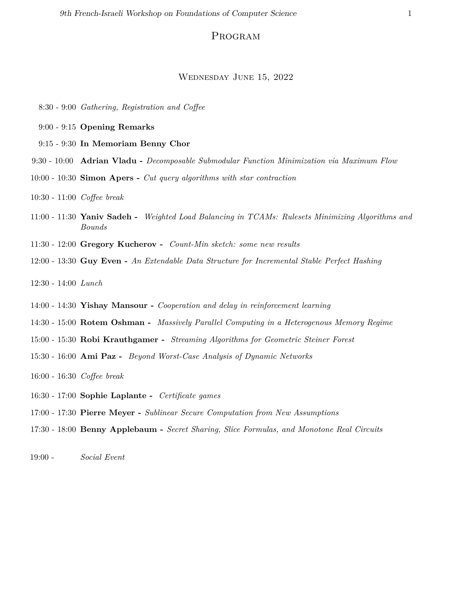## Program

## Wednesday June 15, 2022

- 8:30 9:00 *Gathering, Registration and Coffee*
- 9:00 9:15 **Opening Remarks**
- 9:15 9:30 **In Memoriam Benny Chor**
- 9:30 10:00 **Adrian Vladu -** *Decomposable Submodular Function Minimization via Maximum Flow*
- 10:00 10:30 **Simon Apers -** *Cut query algorithms with star contraction*
- 10:30 11:00 *Coffee break*
- 11:00 11:30 **Yaniv Sadeh -** *Weighted Load Balancing in TCAMs: Rulesets Minimizing Algorithms and Bounds*
- 11:30 12:00 **Gregory Kucherov -** *Count-Min sketch: some new results*
- 12:00 13:30 **Guy Even -** *An Extendable Data Structure for Incremental Stable Perfect Hashing*
- 12:30 14:00 *Lunch*
- 14:00 14:30 **Yishay Mansour -** *Cooperation and delay in reinforcement learning*
- 14:30 15:00 **Rotem Oshman -** *Massively Parallel Computing in a Heterogenous Memory Regime*
- 15:00 15:30 **Robi Krauthgamer -** *Streaming Algorithms for Geometric Steiner Forest*
- 15:30 16:00 **Ami Paz -** *Beyond Worst-Case Analysis of Dynamic Networks*
- 16:00 16:30 *Coffee break*
- 16:30 17:00 **Sophie Laplante -** *Certificate games*
- 17:00 17:30 **Pierre Meyer -** *Sublinear Secure Computation from New Assumptions*
- 17:30 18:00 **Benny Applebaum -** *Secret Sharing, Slice Formulas, and Monotone Real Circuits*
- 19:00 *Social Event*